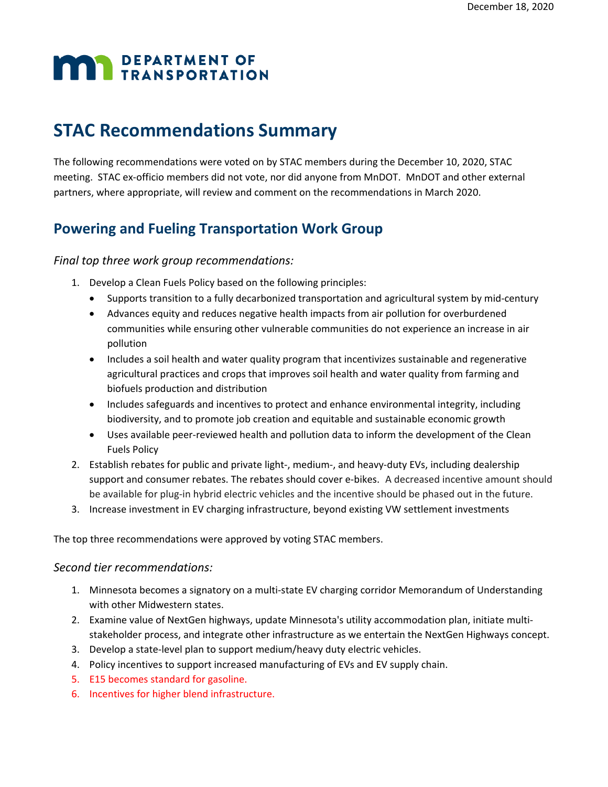# **MAN** DEPARTMENT OF

# **STAC Recommendations Summary**

The following recommendations were voted on by STAC members during the December 10, 2020, STAC meeting. STAC ex-officio members did not vote, nor did anyone from MnDOT. MnDOT and other external partners, where appropriate, will review and comment on the recommendations in March 2020.

## **Powering and Fueling Transportation Work Group**

#### *Final top three work group recommendations:*

- 1. Develop a Clean Fuels Policy based on the following principles:
	- Supports transition to a fully decarbonized transportation and agricultural system by mid-century
	- Advances equity and reduces negative health impacts from air pollution for overburdened communities while ensuring other vulnerable communities do not experience an increase in air pollution
	- Includes a soil health and water quality program that incentivizes sustainable and regenerative agricultural practices and crops that improves soil health and water quality from farming and biofuels production and distribution
	- Includes safeguards and incentives to protect and enhance environmental integrity, including biodiversity, and to promote job creation and equitable and sustainable economic growth
	- Uses available peer-reviewed health and pollution data to inform the development of the Clean Fuels Policy
- 2. Establish rebates for public and private light-, medium-, and heavy-duty EVs, including dealership support and consumer rebates. The rebates should cover e-bikes. A decreased incentive amount should be available for plug-in hybrid electric vehicles and the incentive should be phased out in the future.
- 3. Increase investment in EV charging infrastructure, beyond existing VW settlement investments

The top three recommendations were approved by voting STAC members.

#### *Second tier recommendations:*

- 1. Minnesota becomes a signatory on a multi-state EV charging corridor Memorandum of Understanding with other Midwestern states.
- 2. Examine value of NextGen highways, update Minnesota's utility accommodation plan, initiate multistakeholder process, and integrate other infrastructure as we entertain the NextGen Highways concept.
- 3. Develop a state-level plan to support medium/heavy duty electric vehicles.
- 4. Policy incentives to support increased manufacturing of EVs and EV supply chain.
- 5. E15 becomes standard for gasoline.
- 6. Incentives for higher blend infrastructure.